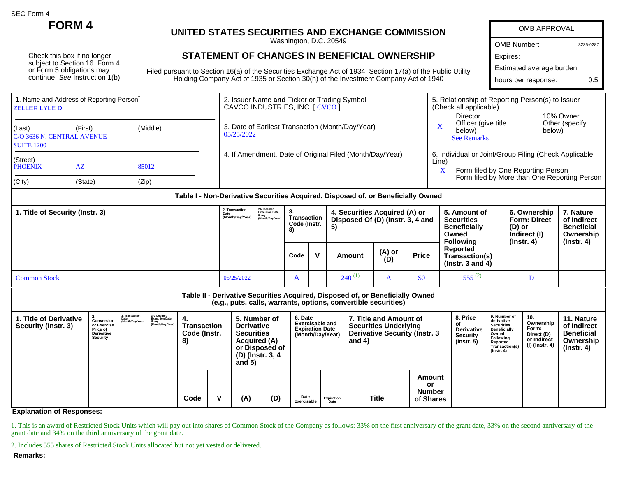SEC Form 4

Check this box if no longer subject to Section 16. Form 4 or Form 5 obligations may continue. See Instruction 1(b).

1. Name and Address of Reporting Person<sup>®</sup>

## **FORM 4** UNITED STATES SECURITIES AND EXCHAI

## **STATEMENT OF CHANGES IN BENEFICIAL**

Filed pursuant to Section 16(a) of the Securities Exchange Act of 1934 Holding Company Act of 1935 or Section 30(h) of the Investm

| <b>\TES SECURITIES AND EXCHANGE COMMISSION</b>                                    | <b>OMB APPROVAL</b>                                                        |           |  |  |  |  |
|-----------------------------------------------------------------------------------|----------------------------------------------------------------------------|-----------|--|--|--|--|
| Washington, D.C. 20549                                                            | <b>OMB Number:</b>                                                         | 3235-0287 |  |  |  |  |
| <b>ENT OF CHANGES IN BENEFICIAL OWNERSHIP</b>                                     | Expires:                                                                   |           |  |  |  |  |
| 16(a) of the Securities Exchange Act of 1934, Section 17(a) of the Public Utility | Estimated average burden                                                   |           |  |  |  |  |
| ly Act of 1935 or Section 30(h) of the Investment Company Act of 1940             | 0.5<br>hours per response:                                                 |           |  |  |  |  |
| 2. Issuer Name and Ticker or Trading Symbol<br>CAVCO INDUSTRIES, INC. [ CVCO ]    | 5. Relationship of Reporting Person(s) to Issuer<br>(Check all applicable) |           |  |  |  |  |

| <b>ZELLER LYLE D</b>                                                 |                 |          | CAVCO INDUSTRIES, INC. [ CVCO ]                                | (Check all applicable)<br><b>Director</b><br>10% Owner                                                    |
|----------------------------------------------------------------------|-----------------|----------|----------------------------------------------------------------|-----------------------------------------------------------------------------------------------------------|
| (Last)<br>(First)<br>C/O 3636 N. CENTRAL AVENUE<br><b>SUITE 1200</b> |                 | (Middle) | 3. Date of Earliest Transaction (Month/Day/Year)<br>05/25/2022 | Officer (give title<br>Other (specify<br>below)<br>below)<br><b>See Remarks</b>                           |
| (Street)<br><b>PHOENIX</b>                                           | $A\overline{Z}$ | 85012    | 4. If Amendment, Date of Original Filed (Month/Day/Year)       | 6. Individual or Joint/Group Filing (Check Applicable<br>Line)<br>Form filed by One Reporting Person<br>X |
| (City)                                                               | (State)         | (Zip)    |                                                                | Form filed by More than One Reporting Person                                                              |

| 1. Title of Security (Instr. 3) | 2. Transaction<br>Date<br>(Month/Day/Year) | 2A. Deemed<br>Execution Date,<br>if any<br>(Month/Day/Year) | 3.<br>Transaction<br>Code (Instr.<br>8) |  | 4. Securities Acquired (A) or<br>Disposed Of (D) (Instr. 3, 4 and<br>5) |               |              | 5. Amount of<br><b>Securities</b><br><b>Beneficially</b><br>Owned<br>Followina | 6. Ownership<br><b>Form: Direct</b><br>(D) or<br>Indirect (I) | 7. Nature<br>of Indirect<br><b>Beneficial</b><br>Ownership |
|---------------------------------|--------------------------------------------|-------------------------------------------------------------|-----------------------------------------|--|-------------------------------------------------------------------------|---------------|--------------|--------------------------------------------------------------------------------|---------------------------------------------------------------|------------------------------------------------------------|
|                                 |                                            |                                                             | Code                                    |  | Amount                                                                  | (A) or<br>(D) | <b>Price</b> | Reported<br>Transaction(s)<br>( $lnstr.$ 3 and 4)                              | $($ lnstr. 4 $)$                                              | $($ lnstr. 4 $)$                                           |
| <b>Common Stock</b>             | 05/25/2022                                 |                                                             |                                         |  | $240^{(1)}$                                                             |               | \$0          | $555^{(2)}$                                                                    |                                                               |                                                            |

**Table II - Derivative Securities Acquired, Disposed of, or Beneficially Owned**

**(e.g., puts, calls, warrants, options, convertible securities)**

| 1. Title of Derivative<br>Security (Instr. 3) | or Exercise<br><b>Price of</b><br><b>Derivative</b><br>Security | 3. Transaction<br><b>Conversion</b> Date<br>Conversion (Month/Day/Year) | 3A. Deemed<br><b>Execution Date,</b><br>if any<br>(Month/Day/Year) | <b>Transaction</b><br>Code (Instr.<br>8) |   | and $5)$ | 6. Date<br>5. Number of<br><b>Derivative</b><br><b>Securities</b><br>Acquired (A)<br>or Disposed of<br>(D) (Instr. 3, 4 |                     | <b>Exercisable and</b><br><b>Expiration Date</b><br>(Month/Day/Year) | 7. Title and Amount of<br><b>Securities Underlying</b><br><b>Derivative Security (Instr. 3)</b><br>and $4)$ |                                            | 8. Price<br>.of<br>Derivative<br><b>Security</b><br>$($ lnstr. 5 $)$ | 9. Number of<br>derivative<br><b>Securities</b><br><b>Beneficially</b><br>Owned<br>Following<br>Reported<br>Transaction(s)<br>(Instr. 4) | 10.<br>Ownership<br>Form:<br>Direct (D)<br>or Indirect<br>(I) (Instr. 4) | 11. Nature<br>of Indirect<br><b>Beneficial</b><br>Ownership<br>(Instr. 4) |
|-----------------------------------------------|-----------------------------------------------------------------|-------------------------------------------------------------------------|--------------------------------------------------------------------|------------------------------------------|---|----------|-------------------------------------------------------------------------------------------------------------------------|---------------------|----------------------------------------------------------------------|-------------------------------------------------------------------------------------------------------------|--------------------------------------------|----------------------------------------------------------------------|------------------------------------------------------------------------------------------------------------------------------------------|--------------------------------------------------------------------------|---------------------------------------------------------------------------|
|                                               |                                                                 |                                                                         |                                                                    | Code                                     | v | (A)      | (D)                                                                                                                     | Date<br>Exercisable | Expiration<br>Date                                                   | Title                                                                                                       | Amount<br>or<br><b>Number</b><br>of Shares |                                                                      |                                                                                                                                          |                                                                          |                                                                           |

**Explanation of Responses:**

1. This is an award of Restricted Stock Units which will pay out into shares of Common Stock of the Company as follows: 33% on the first anniversary of the grant date, 33% on the second anniversary of the grant date and 34% on the third anniversary of the grant date.

2. Includes 555 shares of Restricted Stock Units allocated but not yet vested or delivered.

**Remarks:**